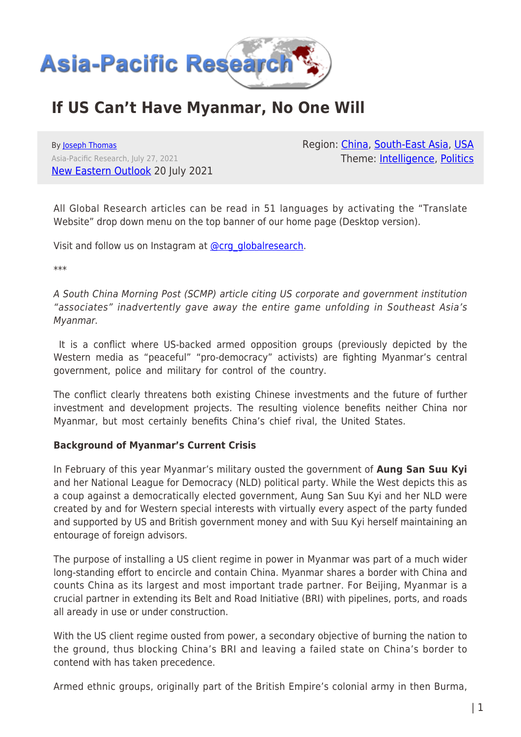

# **If US Can't Have Myanmar, No One Will**

By [Joseph Thomas](https://www.asia-pacificresearch.com/author/joseph-thomas) Asia-Pacific Research, July 27, 2021 [New Eastern Outlook](https://journal-neo.org/2021/07/20/if-us-cant-have-myanmar-no-one-will/) 20 July 2021 Region: [China](https://www.asia-pacificresearch.com/region/china), [South-East Asia,](https://www.asia-pacificresearch.com/region/south-east-asia) [USA](https://www.asia-pacificresearch.com/region/usa) Theme: [Intelligence,](https://www.asia-pacificresearch.com/theme/intelligence) [Politics](https://www.asia-pacificresearch.com/theme/politics)

All Global Research articles can be read in 51 languages by activating the "Translate Website" drop down menu on the top banner of our home page (Desktop version).

Visit and follow us on Instagram at [@crg\\_globalresearch.](https://www.instagram.com/crg_globalresearch/)

\*\*\*

A South China Morning Post (SCMP) article citing US corporate and government institution "associates" inadvertently gave away the entire game unfolding in Southeast Asia's Myanmar.

 It is a conflict where US-backed armed opposition groups (previously depicted by the Western media as "peaceful" "pro-democracy" activists) are fighting Myanmar's central government, police and military for control of the country.

The conflict clearly threatens both existing Chinese investments and the future of further investment and development projects. The resulting violence benefits neither China nor Myanmar, but most certainly benefits China's chief rival, the United States.

### **Background of Myanmar's Current Crisis**

In February of this year Myanmar's military ousted the government of **Aung San Suu Kyi** and her National League for Democracy (NLD) political party. While the West depicts this as a coup against a democratically elected government, Aung San Suu Kyi and her NLD were created by and for Western special interests with virtually every aspect of the party funded and supported by US and British government money and with Suu Kyi herself maintaining an entourage of foreign advisors.

The purpose of installing a US client regime in power in Myanmar was part of a much wider long-standing effort to encircle and contain China. Myanmar shares a border with China and counts China as its largest and most important trade partner. For Beijing, Myanmar is a crucial partner in extending its Belt and Road Initiative (BRI) with pipelines, ports, and roads all aready in use or under construction.

With the US client regime ousted from power, a secondary objective of burning the nation to the ground, thus blocking China's BRI and leaving a failed state on China's border to contend with has taken precedence.

Armed ethnic groups, originally part of the British Empire's colonial army in then Burma,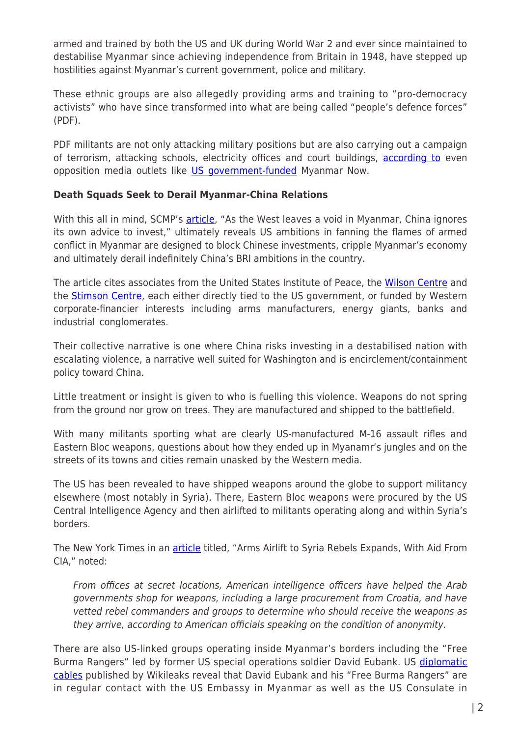armed and trained by both the US and UK during World War 2 and ever since maintained to destabilise Myanmar since achieving independence from Britain in 1948, have stepped up hostilities against Myanmar's current government, police and military.

These ethnic groups are also allegedly providing arms and training to "pro-democracy activists" who have since transformed into what are being called "people's defence forces" (PDF).

PDF militants are not only attacking military positions but are also carrying out a campaign of terrorism, attacking schools, electricity offices and court buildings, [according to](https://www.myanmar-now.org/en/news/as-spate-of-killings-continues-anti-junta-forces-warn-of-more-to-come) even opposition media outlets like [US government-funded](https://www.cjr.org/special_report/myanmars-other-reporters.php) Myanmar Now.

### **Death Squads Seek to Derail Myanmar-China Relations**

With this all in mind, SCMP's [article](https://www.scmp.com/week-asia/politics/article/3139397/west-leaves-void-myanmar-china-ignores-its-own-advice-invest), "As the West leaves a void in Myanmar, China ignores its own advice to invest," ultimately reveals US ambitions in fanning the flames of armed conflict in Myanmar are designed to block Chinese investments, cripple Myanmar's economy and ultimately derail indefinitely China's BRI ambitions in the country.

The article cites associates from the United States Institute of Peace, the [Wilson Centre](https://www.wilsoncenter.org/2011-2013-global-sponsors) and the **[Stimson Centre](https://www.stimson.org/about/transparency/funding-sources/)**, each either directly tied to the US government, or funded by Western corporate-financier interests including arms manufacturers, energy giants, banks and industrial conglomerates.

Their collective narrative is one where China risks investing in a destabilised nation with escalating violence, a narrative well suited for Washington and is encirclement/containment policy toward China.

Little treatment or insight is given to who is fuelling this violence. Weapons do not spring from the ground nor grow on trees. They are manufactured and shipped to the battlefield.

With many militants sporting what are clearly US-manufactured M-16 assault rifles and Eastern Bloc weapons, questions about how they ended up in Myanamr's jungles and on the streets of its towns and cities remain unasked by the Western media.

The US has been revealed to have shipped weapons around the globe to support militancy elsewhere (most notably in Syria). There, Eastern Bloc weapons were procured by the US Central Intelligence Agency and then airlifted to militants operating along and within Syria's borders.

The New York Times in an **article** titled, "Arms Airlift to Syria Rebels Expands, With Aid From CIA," noted:

From offices at secret locations, American intelligence officers have helped the Arab governments shop for weapons, including a large procurement from Croatia, and have vetted rebel commanders and groups to determine who should receive the weapons as they arrive, according to American officials speaking on the condition of anonymity.

There are also US-linked groups operating inside Myanmar's borders including the "Free Burma Rangers" led by former US special operations soldier David Eubank. US [diplomatic](https://search.wikileaks.org/?query=free+burma+rangers&exact_phrase=&any_of=&exclude_words=&document_date_start=&document_date_end=&released_date_start=&released_date_end=&publication_type%5B%5D=3&new_search=False&order_by=most_relevant#results) [cables](https://search.wikileaks.org/?query=free+burma+rangers&exact_phrase=&any_of=&exclude_words=&document_date_start=&document_date_end=&released_date_start=&released_date_end=&publication_type%5B%5D=3&new_search=False&order_by=most_relevant#results) published by Wikileaks reveal that David Eubank and his "Free Burma Rangers" are in regular contact with the US Embassy in Myanmar as well as the US Consulate in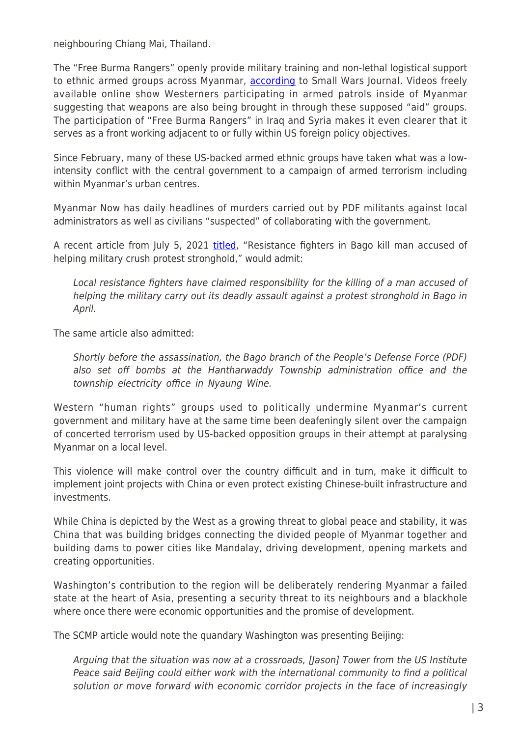neighbouring Chiang Mai, Thailand.

The "Free Burma Rangers" openly provide military training and non-lethal logistical support to ethnic armed groups across Myanmar, [according](https://smallwarsjournal.com/jrnl/art/insurgent-relief-and-assistance-teams-free-burma-rangers-organize-train-equip-sustain) to Small Wars Journal. Videos freely available online show Westerners participating in armed patrols inside of Myanmar suggesting that weapons are also being brought in through these supposed "aid" groups. The participation of "Free Burma Rangers" in Iraq and Syria makes it even clearer that it serves as a front working adjacent to or fully within US foreign policy objectives.

Since February, many of these US-backed armed ethnic groups have taken what was a lowintensity conflict with the central government to a campaign of armed terrorism including within Myanmar's urban centres.

Myanmar Now has daily headlines of murders carried out by PDF militants against local administrators as well as civilians "suspected" of collaborating with the government.

A recent article from July 5, 2021 [titled,](https://myanmar-now.org/en/news/resistance-fighters-in-bago-kill-man-accused-of-helping-military-crush-protest-stronghold) "Resistance fighters in Bago kill man accused of helping military crush protest stronghold," would admit:

Local resistance fighters have claimed responsibility for the killing of a man accused of helping the military carry out its deadly assault against a protest stronghold in Bago in April.

The same article also admitted:

Shortly before the assassination, the Bago branch of the People's Defense Force (PDF) also set off bombs at the Hantharwaddy Township administration office and the township electricity office in Nyaung Wine.

Western "human rights" groups used to politically undermine Myanmar's current government and military have at the same time been deafeningly silent over the campaign of concerted terrorism used by US-backed opposition groups in their attempt at paralysing Myanmar on a local level.

This violence will make control over the country difficult and in turn, make it difficult to implement joint projects with China or even protect existing Chinese-built infrastructure and investments.

While China is depicted by the West as a growing threat to global peace and stability, it was China that was building bridges connecting the divided people of Myanmar together and building dams to power cities like Mandalay, driving development, opening markets and creating opportunities.

Washington's contribution to the region will be deliberately rendering Myanmar a failed state at the heart of Asia, presenting a security threat to its neighbours and a blackhole where once there were economic opportunities and the promise of development.

The SCMP article would note the quandary Washington was presenting Beijing:

Arguing that the situation was now at a crossroads, [Jason] Tower from the US Institute Peace said Beijing could either work with the international community to find a political solution or move forward with economic corridor projects in the face of increasingly